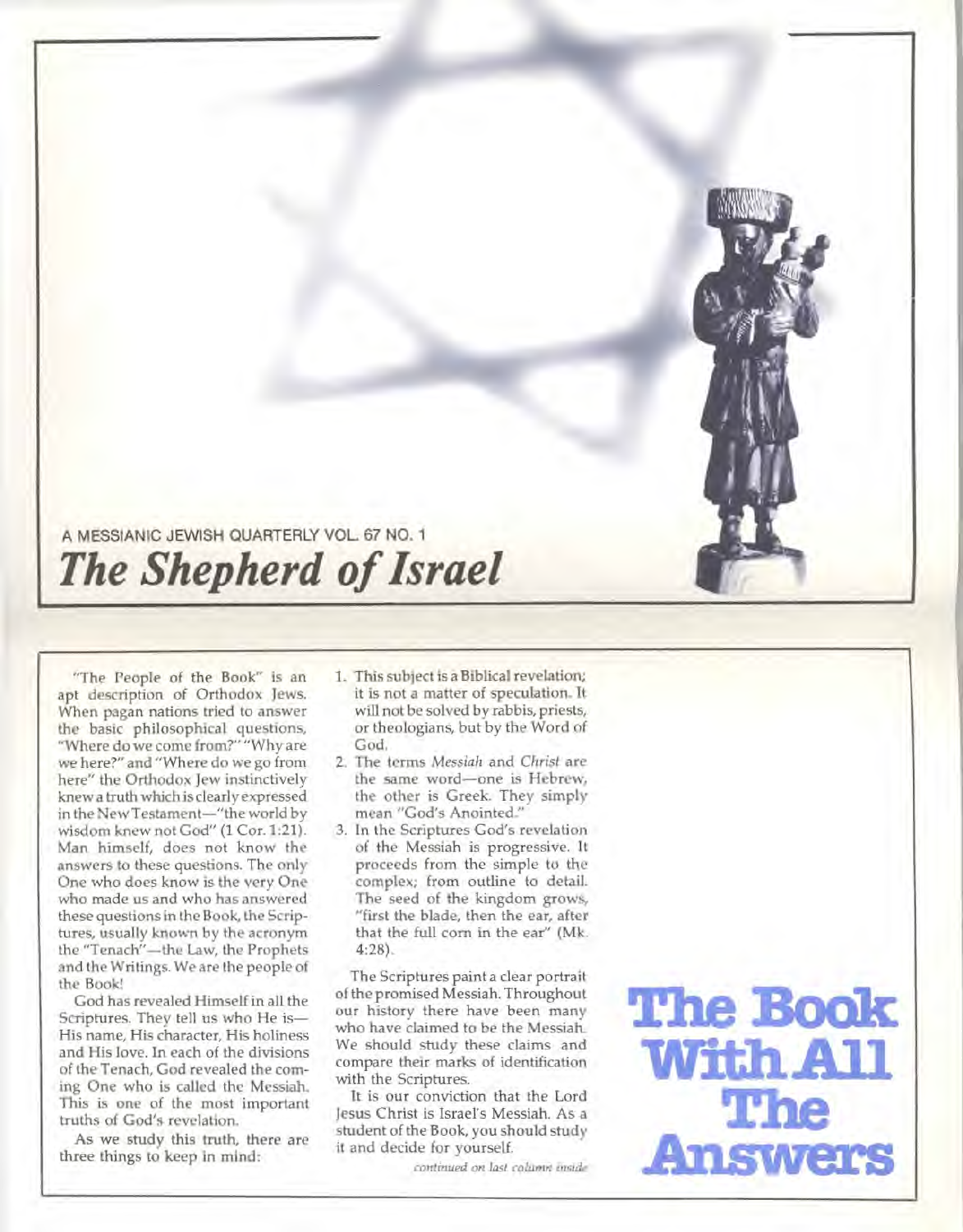# **A MESSIANIC JEWISH QUARTERLY VOL. 67 NO. 1**  *The Shepherd of Israel*

"The People of the Book" is an apt description of Orthodox Jews. When pagan nations tried to answer the basic philosophical questions, "Where do we come from?" "Why are we here?" and "Where do we go from here" the Orthodox Jew instinctively knew a truth which is clearly expressed in the New Testament—"the world by wisdom knew not God" (1 Cor. 1:21). Man himself, does not know the answers to these questions. The only One who does know is the very One who made us and who has answered these questions in the Book, the Scriptures, usually known by the acronym the "Tenach"—the Law, the Prophets and the Writings. We are the people of the Book!

God has revealed Himself in all the Scriptures. They tell us who He is— His name, His character, His holiness and His love. In each of the divisions of the Tenach, God revealed the coming One who is called the Messiah. This is one of the most important truths of God's revelation.

As we study this truth, there are three things to keep in mind:

- 1. This subject is a Biblical revelation; it is not a matter of speculation. It will not be solved by rabbis, priests, or theologians, but by the Word of God.
- 2. The terms *Messiah* and *Christ are the* same word—one is Hebrew, the other is Greek. They simply mean "God's Anointed."
- 3. In the Scriptures God's revelation of the Messiah is progressive. It proceeds from the simple to the complex; from outline to detail. The seed of the kingdom grows, "first the blade, then the ear, after that the full corn in the ear" (Mk. 4:28).

The Scriptures paint a clear portrait of the promised Messiah. Throughout our history there have been many who have claimed to be the Messiah. We should study these claims and compare their marks of identification with the Scriptures.

It is our conviction that the Lord Jesus Christ is Israel's Messiah. As a student of the Book, you should study it and decide for yourself.

*continued on last column inside* 

**The Book WithAll The Answers**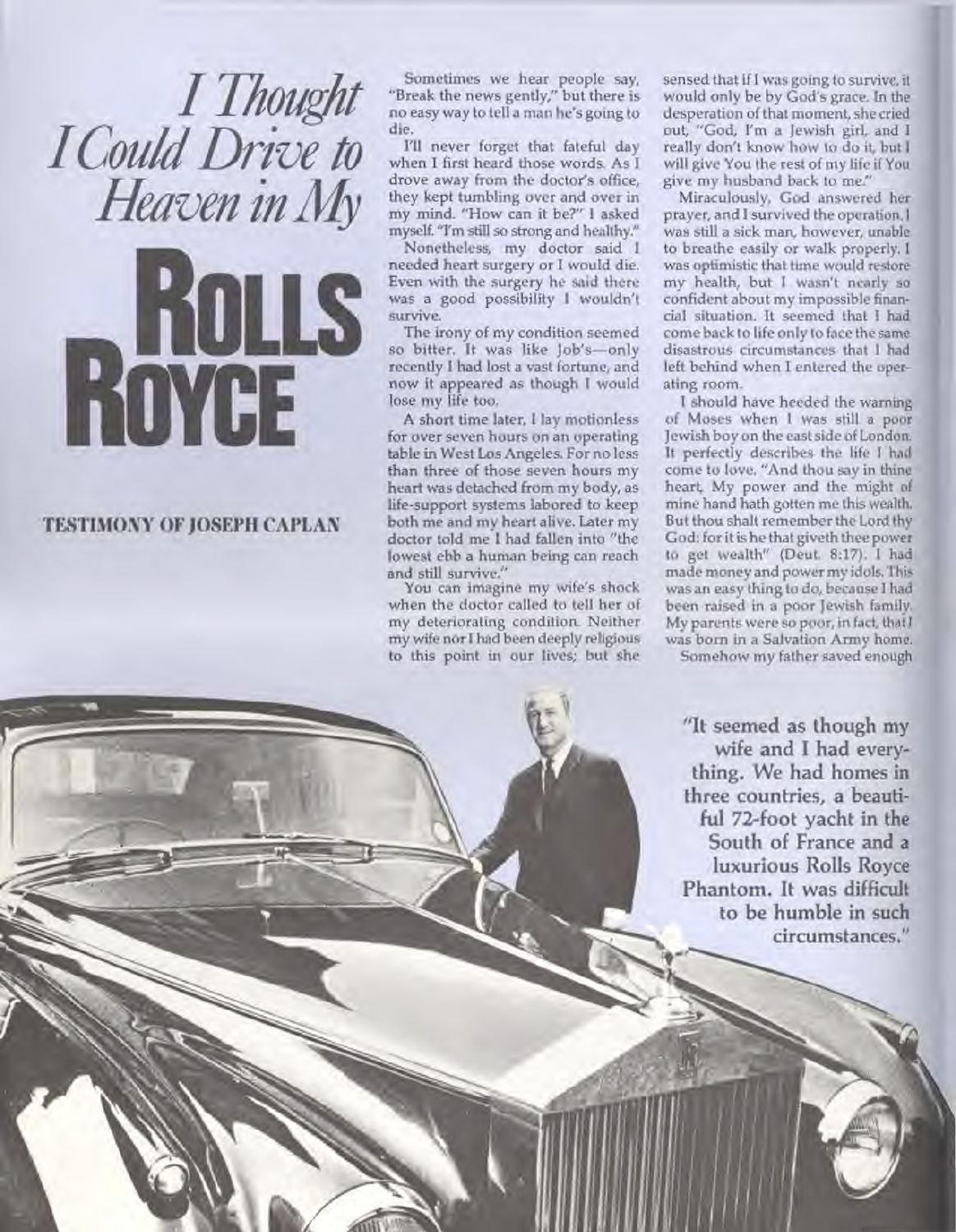*I Thought I Could Drive to Heaven in My* 

### **TESTIMONY OF JOSEPH CAPLAN**

ROYCE

**Sometimes we hear people say, "Break the news gently," but there is no easy way to tell a man he's going to die.** 

**I'll never forget that fateful day when I first heard those words. As I drove away from the doctor's office, they kept tumbling over and over in my mind. "How can it be?" I asked myself. "I'm still so strong and healthy."** 

**Nonetheless, my doctor said I needed heart surgery or I would die. Even with the surgery he said there was a good possibility I wouldn't survive.** 

ROLLS : **The irony of my condition seemed so bitter. It was like Job's—only recently I had lost a vast fortune, and now it appeared as though I would lose my life too.** 

> **A short time later, I lay motionless for over seven hours on an operating table in West Los Angeles. For no less than three of those seven hours my heart was detached from my body, as life-support systems labored to keep both me and my heart alive. Later my doctor told me I had fallen into "the lowest ebb a human being can reach and still survive."**

> **You can imagine my wife's shock when the doctor called to tell her of my deteriorating condition. Neither my wife nor I had been deeply religious to this point in our lives; but she**

 $\left( \frac{1}{2} \right)$ 

**sensed that if I was going to survive, it would only be by God's grace. In the desperation of that moment, she cried out, "God, I'm a Jewish girl, and I really don't know how to do it, but I will give You the rest of my life if You give my husband back to me."** 

**Miraculously, God answered her prayer, and I survived the operation. I was still a sick man, however, unable to breathe easily or walk properly. I was optimistic that time would restore my health, but I wasn't nearly so confident about my impossible financial situation. It seemed that I had come back to life only to face the same disastrous circumstances that I had left behind when I entered the operating room.** 

**I should have heeded the warning of Moses when I was still a poor Jewish boy on the east side of London. It perfectly describes the life I had come to love. "And thou say in thine heart, My power and the might of mine hand hath gotten me this wealth. But thou shalt remember the Lord thy God: for it is he that giveth thee power to get wealth" (Deut. 8:17). I had made money and power my idols. This was an easy thing to do, because I had been raised in a poor Jewish family. My parents were so poor, in fact, that I was born in a Salvation Army home.** 

**Somehow my father saved enough** 

**"It seemed as though my wife and I had everything. We had homes** in **three countries, a** beautiful **72-foot yacht in** the **South of France and** a **luxurious Rolls Royce Phantom. It was difficult to be humble in such circumstances."**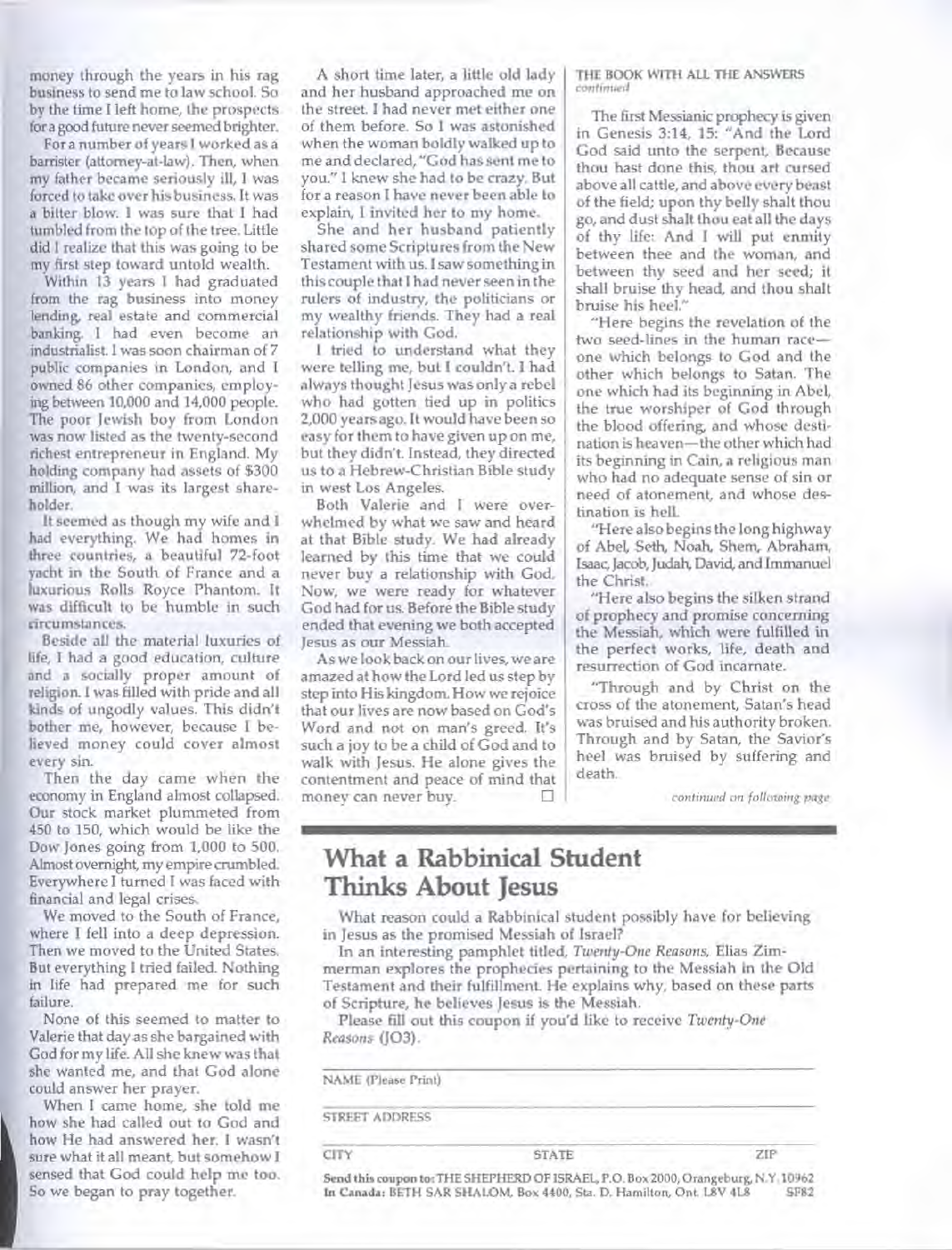**money through the years in his rag business to send me to law school. So by the time I left home, the prospects for a good future never seemed brighter.** 

**For a number of years I worked as a barrister (attorney-at-law). Then, when my father became seriously ill, I was forced to take over his business. It was a bitter blow. I was sure that I had tumbled from the top of the tree. Little did I realize that this was going to be my first step toward untold wealth.** 

**Within 13 years I had graduated from the rag business into money lending, real estate and commercial banking. I had even become an industrialist. I was soon chairman of 7 public companies in London, and I owned 86 other companies, employing between 10,000 and 14,000 people. The poor Jewish boy from London was now listed as the twenty-second richest entrepreneur in England. My holding company had assets of \$300 million, and I was its largest shareholder.** 

**It seemed as though my wife and I had everything. We had homes in three countries, a beautiful 72-foot yacht in the South of France and a luxurious Rolls Royce Phantom. It was difficult to be humble in such circumstances.** 

**Beside all the material luxuries of life, I had a good education, culture and a socially proper amount of religion. I was filled with pride and all kinds of ungodly values. This didn't bother me, however, because I believed money could cover almost every sin.** 

**Then the day came when the economy in England almost collapsed. Our stock market plummeted from 450 to 150, which would be like the Dow Jones going from 1,000 to 500. Almost overnight, my empire crumbled. Everywhere I turned I was faced with financial and legal crises.** 

**We moved to the South of France, where I fell into a deep depression. Then we moved to the United States. But everything I tried failed. Nothing in life had prepared me for such failure.** 

**None of this seemed to matter to Valerie that day as she bargained with God for my life. All she knew was that she wanted me, and that God alone could answer her prayer.** 

**When I came home, she told me how she had called out to God and how He had answered her. I wasn't sure what it all meant, but somehow I sensed that God could help me too. So we began to pray together.** 

**A short time later, a little old lady and her husband approached me on the street. I had never met either one of them before. So I was astonished when the woman boldly walked up to me and declared, "God has sent me to you." I knew she had to be crazy. But for a reason I have never been able to explain, I invited her to my home.** 

**She and her husband patiently shared some Scriptures from the New Testament with us. I saw something in this couple that I had never seen in the rulers of industry, the politicians or my wealthy friends. They had a real relationship with God.** 

**I tried to understand what they were telling me, but I couldn't. I had always thought Jesus was only a rebel who had gotten tied up in politics 2,000 years ago. It would have been so easy for them to have given up on me, but they didn't. Instead, they directed us to a Hebrew-Christian Bible study in west Los Angeles.** 

**Both Valerie and I were overwhelmed by what we saw and heard at that Bible study. We had already learned by this time that we could never buy a relationship with God. Now, we were ready for whatever God had for us. Before the Bible study ended that evening we both accepted Jesus as our Messiah.** 

**As we look back on our lives, we are amazed at how the Lord led us step by step into His kingdom. How we rejoice that our lives are now based on God's Word and not on man's greed. It's such a joy to be a child of God and to walk with Jesus. He alone gives the contentment and peace of mind that money can never buy.** ❑

#### **THE BOOK WITH ALL THE ANSWERS continued**

**The first Messianic prophecy is given in Genesis 3:14, 15: "And the Lord God said unto the serpent, Because thou hast done this, thou art cursed above all cattle, and above every beast of the field; upon thy belly shalt thou go, and dust shalt thou eat all the days of thy life: And I will put enmity between thee and the woman, and between thy seed and her seed; it shall bruise thy head, and thou shalt bruise his heel."** 

**"Here begins the revelation of the two seed-lines in the human race one which belongs to God and the other which belongs to Satan. The one which had its beginning in Abel, the true worshiper of God through the blood offering, and whose destination is heaven—the other which had its beginning in Cain, a religious man who had no adequate sense of sin or need of atonement, and whose destination is hell.** 

**"Here also begins the long highway of Abel, Seth, Noah, Shem, Abraham, Isaac, Jacob, Judah, David, and Immanuel the Christ.** 

**"Here also begins the silken strand of prophecy and promise concerning the Messiah, which were fulfilled in the perfect works, life, death and resurrection of God incarnate.** 

**"Through and by Christ on the cross of the atonement, Satan's head was bruised and his authority broken. Through and by Satan, the Savior's heel was bruised by suffering and death.** 

**continued on following page** 

## **What a Rabbinical Student Thinks About Jesus**

**What reason could a Rabbinical student possibly have for believing in Jesus as the promised Messiah of Israel?** 

**In an interesting pamphlet titled,** *Twenty-One Reasons,* **Elias Zimmerman explores the prophecies pertaining to the Messiah in the Old Testament and their fulfillment. He explains why, based on these parts of Scripture, he believes Jesus is the Messiah.** 

**Please fill out this coupon if you'd like to receive** *Twenty-One Reasons* **(J03).** 

| NAME (Please Print)<br><b>STREET ADDRESS</b> |                                                                                                                                                            |  |
|----------------------------------------------|------------------------------------------------------------------------------------------------------------------------------------------------------------|--|
|                                              |                                                                                                                                                            |  |
|                                              | Send this coupon to: THE SHEPHERD OF ISRAEL, P.O. Box 2000, Orangeburg, N.Y. 10962<br>In Canada: BETH SAR SHALOM, Box 4400, Sta. D. Hamilton, Ont. L8V 4L8 |  |